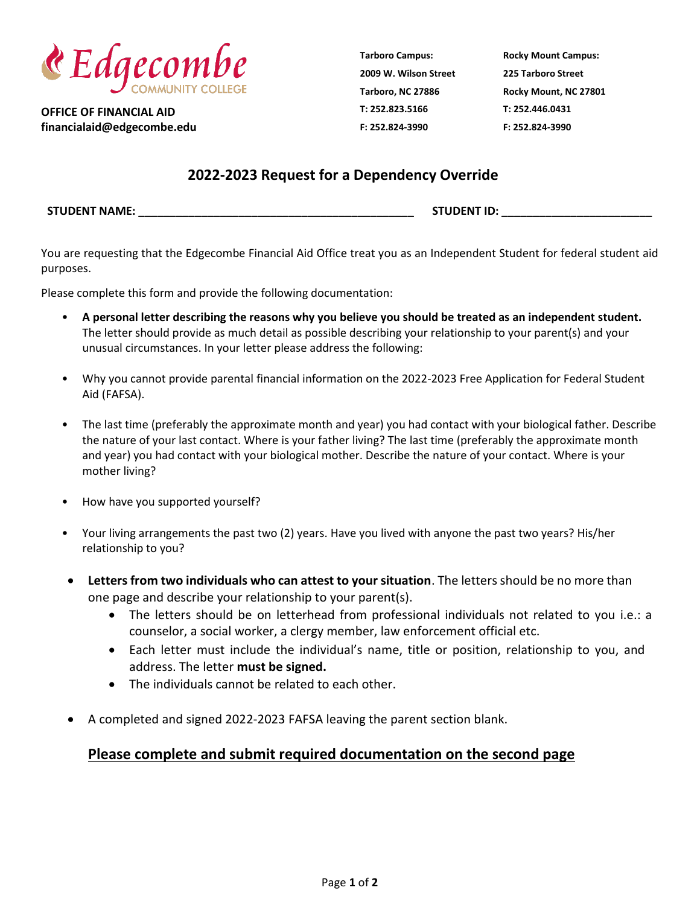

**OFFICE OF FINANCIAL AID financialaid@edgecombe.edu** **Tarboro Campus: 2009 W. Wilson Street Tarboro, NC 27886 T: 252.823.5166 F: 252.824-3990**

**Rocky Mount Campus: 225 Tarboro Street Rocky Mount, NC 27801 T: 252.446.0431 F: 252.824-3990**

## **2022-2023 Request for a Dependency Override**

**STUDENT NAME: \_\_\_\_\_\_\_\_\_\_\_\_\_\_\_\_\_\_\_\_\_\_\_\_\_\_\_\_\_\_\_\_\_\_\_\_\_\_\_\_\_\_\_\_ STUDENT ID: \_\_\_\_\_\_\_\_\_\_\_\_\_\_\_\_\_\_\_\_\_\_\_\_**

You are requesting that the Edgecombe Financial Aid Office treat you as an Independent Student for federal student aid purposes.

Please complete this form and provide the following documentation:

- **A personal letter describing the reasons why you believe you should be treated as an independent student.**  The letter should provide as much detail as possible describing your relationship to your parent(s) and your unusual circumstances. In your letter please address the following:
- Why you cannot provide parental financial information on the 2022-2023 Free Application for Federal Student Aid (FAFSA).
- The last time (preferably the approximate month and year) you had contact with your biological father. Describe the nature of your last contact. Where is your father living? The last time (preferably the approximate month and year) you had contact with your biological mother. Describe the nature of your contact. Where is your mother living?
- How have you supported yourself?
- Your living arrangements the past two (2) years. Have you lived with anyone the past two years? His/her relationship to you?
- **Letters from two individuals who can attest to your situation**. The letters should be no more than one page and describe your relationship to your parent(s).
	- The letters should be on letterhead from professional individuals not related to you i.e.: a counselor, a social worker, a clergy member, law enforcement official etc.
	- Each letter must include the individual's name, title or position, relationship to you, and address. The letter **must be signed.**
	- The individuals cannot be related to each other.
- A completed and signed 2022-2023 FAFSA leaving the parent section blank.

## **Please complete and submit required documentation on the second page**